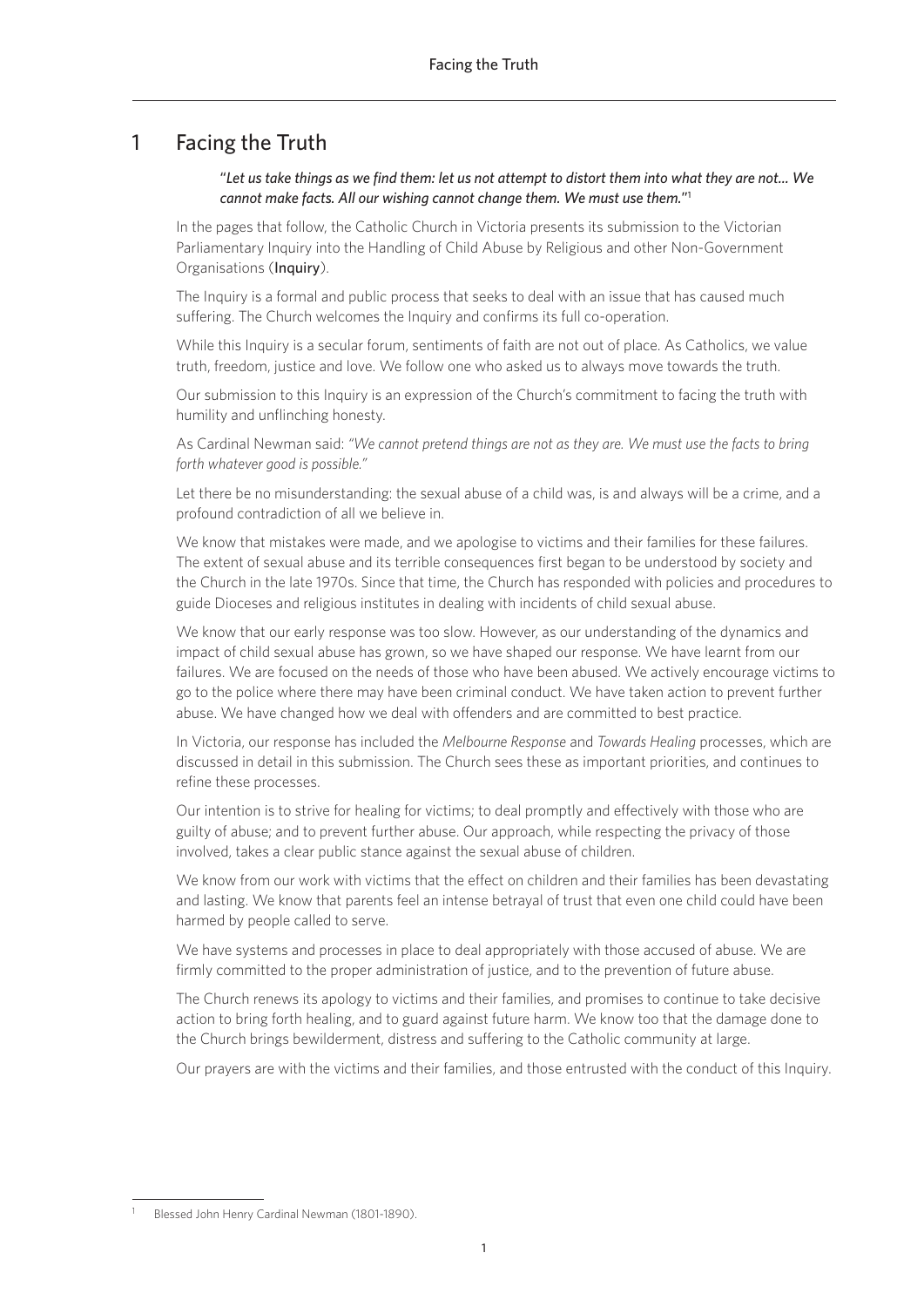# 1 Facing the Truth

### "*Let us take things as we find them: let us not attempt to distort them into what they are not... We cannot make facts. All our wishing cannot change them. We must use them.*"1

In the pages that follow, the Catholic Church in Victoria presents its submission to the Victorian Parliamentary Inquiry into the Handling of Child Abuse by Religious and other Non-Government Organisations (Inquiry).

The Inquiry is a formal and public process that seeks to deal with an issue that has caused much suffering. The Church welcomes the Inquiry and confirms its full co-operation.

While this Inquiry is a secular forum, sentiments of faith are not out of place. As Catholics, we value truth, freedom, justice and love. We follow one who asked us to always move towards the truth.

Our submission to this Inquiry is an expression of the Church's commitment to facing the truth with humility and unflinching honesty.

As Cardinal Newman said: *"We cannot pretend things are not as they are. We must use the facts to bring forth whatever good is possible."*

Let there be no misunderstanding: the sexual abuse of a child was, is and always will be a crime, and a profound contradiction of all we believe in.

We know that mistakes were made, and we apologise to victims and their families for these failures. The extent of sexual abuse and its terrible consequences first began to be understood by society and the Church in the late 1970s. Since that time, the Church has responded with policies and procedures to guide Dioceses and religious institutes in dealing with incidents of child sexual abuse.

We know that our early response was too slow. However, as our understanding of the dynamics and impact of child sexual abuse has grown, so we have shaped our response. We have learnt from our failures. We are focused on the needs of those who have been abused. We actively encourage victims to go to the police where there may have been criminal conduct. We have taken action to prevent further abuse. We have changed how we deal with offenders and are committed to best practice.

In Victoria, our response has included the *Melbourne Response* and *Towards Healing* processes, which are discussed in detail in this submission. The Church sees these as important priorities, and continues to refine these processes.

Our intention is to strive for healing for victims; to deal promptly and effectively with those who are guilty of abuse; and to prevent further abuse. Our approach, while respecting the privacy of those involved, takes a clear public stance against the sexual abuse of children.

We know from our work with victims that the effect on children and their families has been devastating and lasting. We know that parents feel an intense betrayal of trust that even one child could have been harmed by people called to serve.

We have systems and processes in place to deal appropriately with those accused of abuse. We are firmly committed to the proper administration of justice, and to the prevention of future abuse.

The Church renews its apology to victims and their families, and promises to continue to take decisive action to bring forth healing, and to guard against future harm. We know too that the damage done to the Church brings bewilderment, distress and suffering to the Catholic community at large.

Our prayers are with the victims and their families, and those entrusted with the conduct of this Inquiry.

Blessed John Henry Cardinal Newman (1801-1890).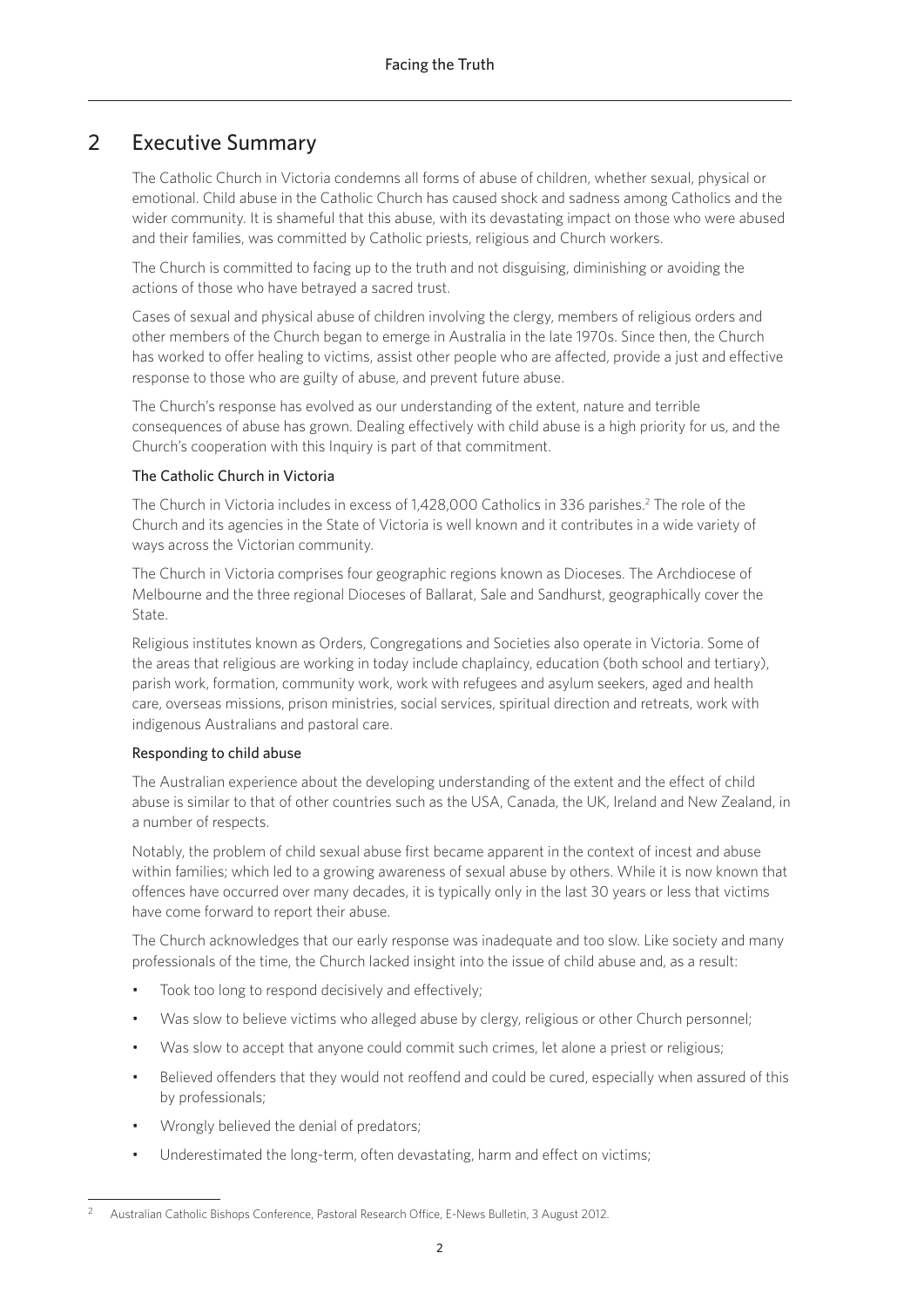# 2 Executive Summary

The Catholic Church in Victoria condemns all forms of abuse of children, whether sexual, physical or emotional. Child abuse in the Catholic Church has caused shock and sadness among Catholics and the wider community. It is shameful that this abuse, with its devastating impact on those who were abused and their families, was committed by Catholic priests, religious and Church workers.

The Church is committed to facing up to the truth and not disguising, diminishing or avoiding the actions of those who have betrayed a sacred trust.

Cases of sexual and physical abuse of children involving the clergy, members of religious orders and other members of the Church began to emerge in Australia in the late 1970s. Since then, the Church has worked to offer healing to victims, assist other people who are affected, provide a just and effective response to those who are guilty of abuse, and prevent future abuse.

The Church's response has evolved as our understanding of the extent, nature and terrible consequences of abuse has grown. Dealing effectively with child abuse is a high priority for us, and the Church's cooperation with this Inquiry is part of that commitment.

## The Catholic Church in Victoria

The Church in Victoria includes in excess of 1,428,000 Catholics in 336 parishes.<sup>2</sup> The role of the Church and its agencies in the State of Victoria is well known and it contributes in a wide variety of ways across the Victorian community.

The Church in Victoria comprises four geographic regions known as Dioceses. The Archdiocese of Melbourne and the three regional Dioceses of Ballarat, Sale and Sandhurst, geographically cover the State.

Religious institutes known as Orders, Congregations and Societies also operate in Victoria. Some of the areas that religious are working in today include chaplaincy, education (both school and tertiary), parish work, formation, community work, work with refugees and asylum seekers, aged and health care, overseas missions, prison ministries, social services, spiritual direction and retreats, work with indigenous Australians and pastoral care.

### Responding to child abuse

The Australian experience about the developing understanding of the extent and the effect of child abuse is similar to that of other countries such as the USA, Canada, the UK, Ireland and New Zealand, in a number of respects.

Notably, the problem of child sexual abuse first became apparent in the context of incest and abuse within families; which led to a growing awareness of sexual abuse by others. While it is now known that offences have occurred over many decades, it is typically only in the last 30 years or less that victims have come forward to report their abuse.

The Church acknowledges that our early response was inadequate and too slow. Like society and many professionals of the time, the Church lacked insight into the issue of child abuse and, as a result:

- Took too long to respond decisively and effectively;
- Was slow to believe victims who alleged abuse by clergy, religious or other Church personnel;
- Was slow to accept that anyone could commit such crimes, let alone a priest or religious;
- Believed offenders that they would not reoffend and could be cured, especially when assured of this by professionals;
- Wrongly believed the denial of predators;
- Underestimated the long-term, often devastating, harm and effect on victims;

<sup>2</sup> Australian Catholic Bishops Conference, Pastoral Research Office, E-News Bulletin, 3 August 2012.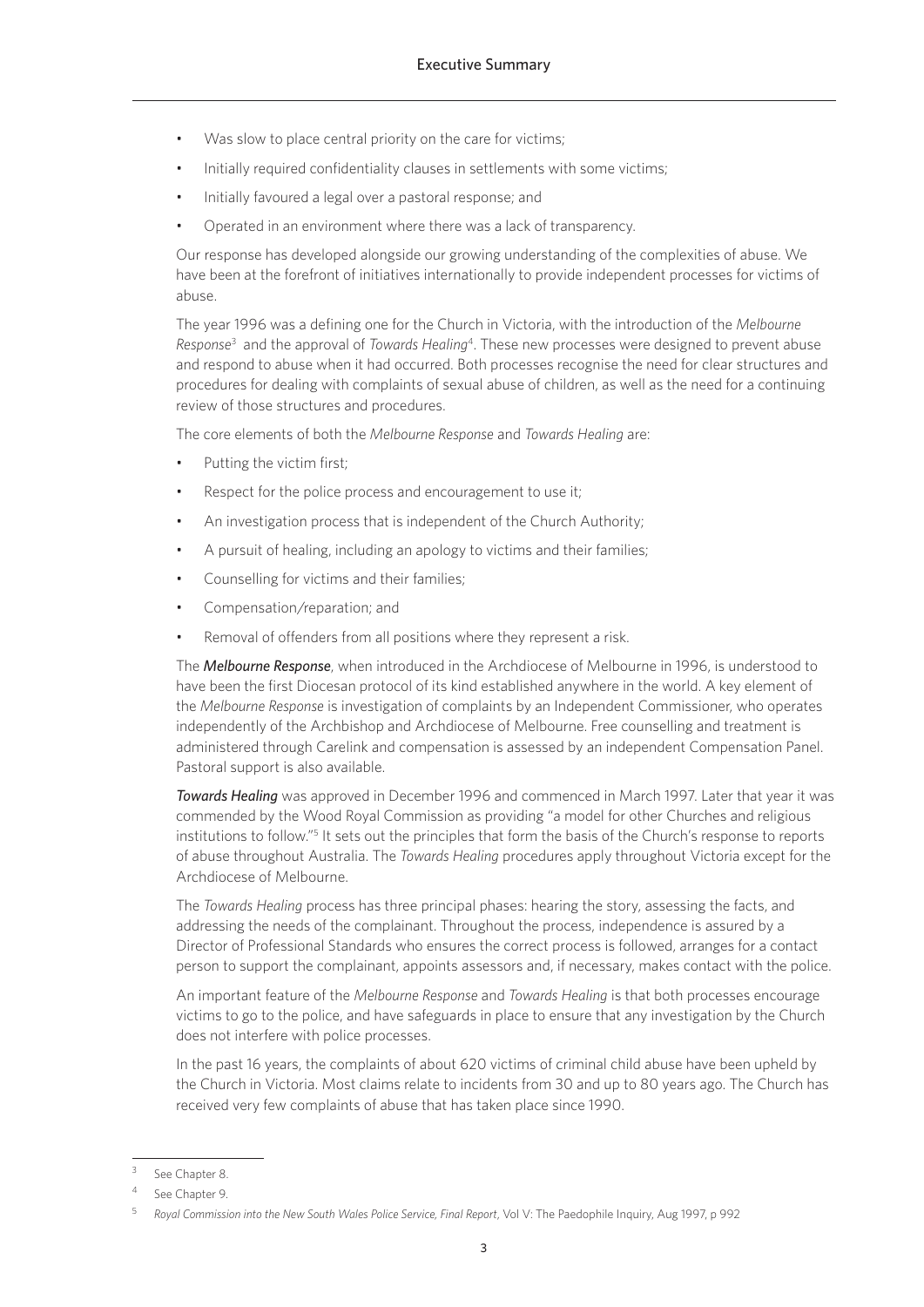- Was slow to place central priority on the care for victims;
- Initially required confidentiality clauses in settlements with some victims;
- Initially favoured a legal over a pastoral response; and
- Operated in an environment where there was a lack of transparency.

Our response has developed alongside our growing understanding of the complexities of abuse. We have been at the forefront of initiatives internationally to provide independent processes for victims of abuse.

The year 1996 was a defining one for the Church in Victoria, with the introduction of the *Melbourne Response*<sup>3</sup> and the approval of *Towards Healing*4. These new processes were designed to prevent abuse and respond to abuse when it had occurred. Both processes recognise the need for clear structures and procedures for dealing with complaints of sexual abuse of children, as well as the need for a continuing review of those structures and procedures.

The core elements of both the *Melbourne Response* and *Towards Healing* are:

- Putting the victim first:
- Respect for the police process and encouragement to use it:
- An investigation process that is independent of the Church Authority;
- A pursuit of healing, including an apology to victims and their families;
- Counselling for victims and their families;
- Compensation/reparation; and
- Removal of offenders from all positions where they represent a risk.

The *Melbourne Response*, when introduced in the Archdiocese of Melbourne in 1996, is understood to have been the first Diocesan protocol of its kind established anywhere in the world. A key element of the *Melbourne Response* is investigation of complaints by an Independent Commissioner, who operates independently of the Archbishop and Archdiocese of Melbourne. Free counselling and treatment is administered through Carelink and compensation is assessed by an independent Compensation Panel. Pastoral support is also available.

*Towards Healing* was approved in December 1996 and commenced in March 1997. Later that year it was commended by the Wood Royal Commission as providing "a model for other Churches and religious institutions to follow."<sup>5</sup> It sets out the principles that form the basis of the Church's response to reports of abuse throughout Australia. The *Towards Healing* procedures apply throughout Victoria except for the Archdiocese of Melbourne.

The *Towards Healing* process has three principal phases: hearing the story, assessing the facts, and addressing the needs of the complainant. Throughout the process, independence is assured by a Director of Professional Standards who ensures the correct process is followed, arranges for a contact person to support the complainant, appoints assessors and, if necessary, makes contact with the police.

An important feature of the *Melbourne Response* and *Towards Healing* is that both processes encourage victims to go to the police, and have safeguards in place to ensure that any investigation by the Church does not interfere with police processes.

In the past 16 years, the complaints of about 620 victims of criminal child abuse have been upheld by the Church in Victoria. Most claims relate to incidents from 30 and up to 80 years ago. The Church has received very few complaints of abuse that has taken place since 1990.

See Chapter 8.

See Chapter 9.

<sup>5</sup> *Royal Commission into the New South Wales Police Service, Final Report*, Vol V: The Paedophile Inquiry, Aug 1997, p 992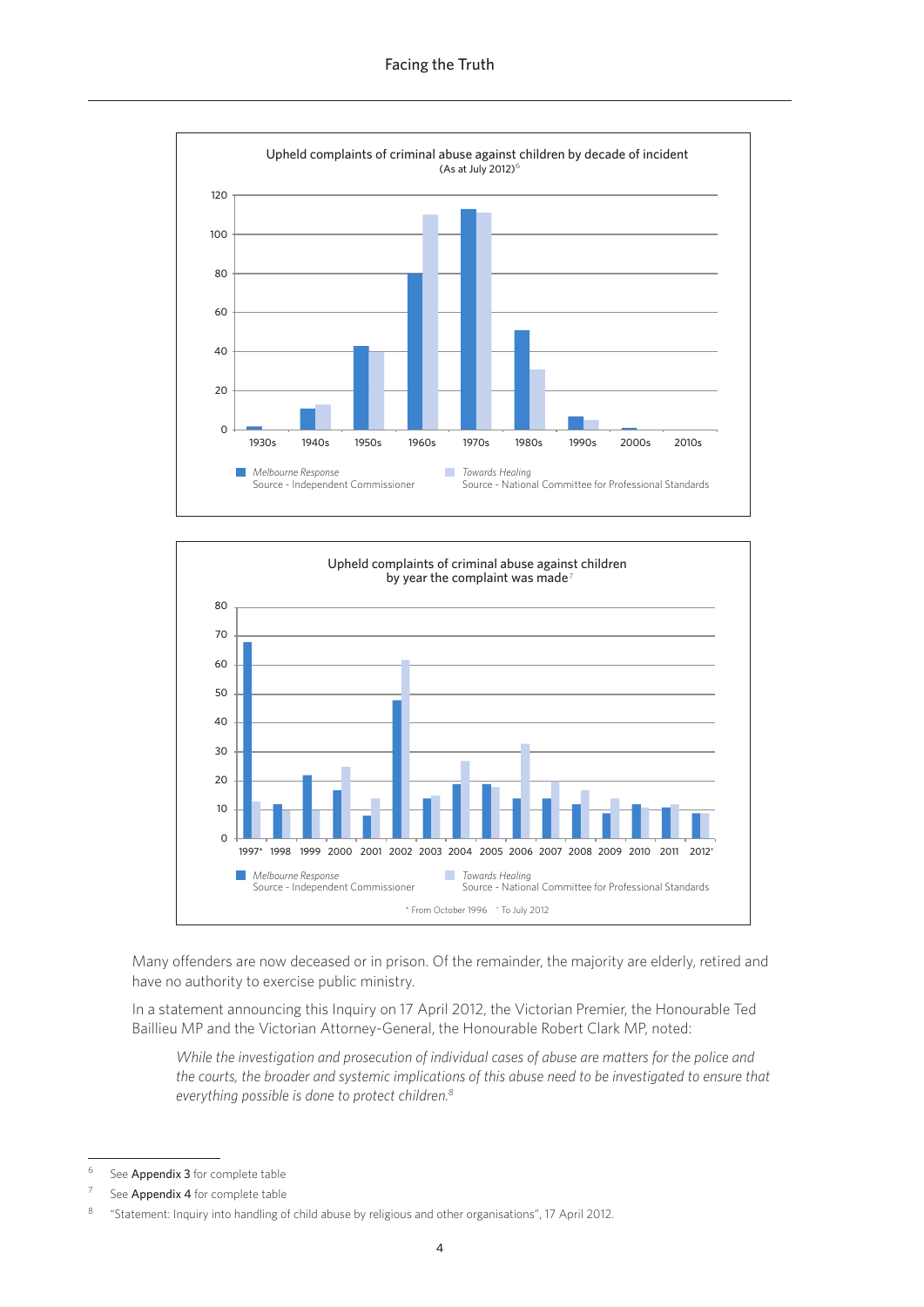



Many offenders are now deceased or in prison. Of the remainder, the majority are elderly, retired and have no authority to exercise public ministry.

In a statement announcing this Inquiry on 17 April 2012, the Victorian Premier, the Honourable Ted Baillieu MP and the Victorian Attorney-General, the Honourable Robert Clark MP, noted:

While the investigation and prosecution of individual cases of abuse are matters for the police and the courts, the broader and systemic implications of this abuse need to be investigated to ensure that everything possible is done to protect children.<sup>8</sup>

 $6\phantom{1}6$ See Appendix 3 for complete table

See Appendix 4 for complete table

 $\overline{8}$ "Statement: Inquiry into handling of child abuse by religious and other organisations", 17 April 2012.